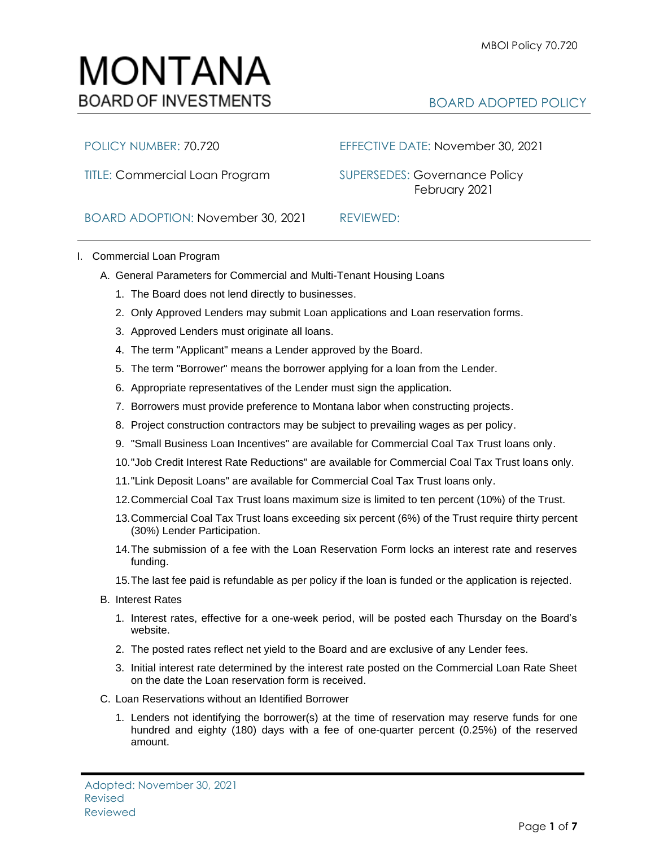## MONTANA **BOARD OF INVESTMENTS**

## BOARD ADOPTED POLICY

TITLE: Commercial Loan Program SUPERSEDES: Governance Policy

POLICY NUMBER: 70.720 EFFECTIVE DATE: November 30, 2021

February 2021

BOARD ADOPTION: November 30, 2021 REVIEWED:

- I. Commercial Loan Program
	- A. General Parameters for Commercial and Multi-Tenant Housing Loans
		- 1. The Board does not lend directly to businesses.
		- 2. Only Approved Lenders may submit Loan applications and Loan reservation forms.
		- 3. Approved Lenders must originate all loans.
		- 4. The term "Applicant" means a Lender approved by the Board.
		- 5. The term "Borrower" means the borrower applying for a loan from the Lender.
		- 6. Appropriate representatives of the Lender must sign the application.
		- 7. Borrowers must provide preference to Montana labor when constructing projects.
		- 8. Project construction contractors may be subject to prevailing wages as per policy.
		- 9. "Small Business Loan Incentives" are available for Commercial Coal Tax Trust loans only.
		- 10."Job Credit Interest Rate Reductions" are available for Commercial Coal Tax Trust loans only.
		- 11."Link Deposit Loans" are available for Commercial Coal Tax Trust loans only.
		- 12.Commercial Coal Tax Trust loans maximum size is limited to ten percent (10%) of the Trust.
		- 13.Commercial Coal Tax Trust loans exceeding six percent (6%) of the Trust require thirty percent (30%) Lender Participation.
		- 14.The submission of a fee with the Loan Reservation Form locks an interest rate and reserves funding.
		- 15.The last fee paid is refundable as per policy if the loan is funded or the application is rejected.
	- B. Interest Rates
		- 1. Interest rates, effective for a one-week period, will be posted each Thursday on the Board's website.
		- 2. The posted rates reflect net yield to the Board and are exclusive of any Lender fees.
		- 3. Initial interest rate determined by the interest rate posted on the Commercial Loan Rate Sheet on the date the Loan reservation form is received.
	- C. Loan Reservations without an Identified Borrower
		- 1. Lenders not identifying the borrower(s) at the time of reservation may reserve funds for one hundred and eighty (180) days with a fee of one-quarter percent (0.25%) of the reserved amount.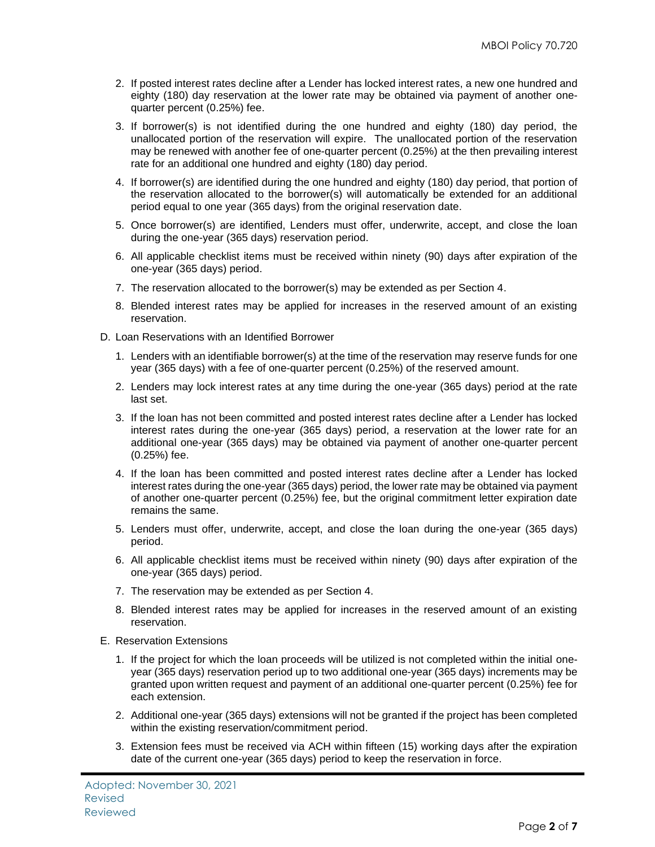- 2. If posted interest rates decline after a Lender has locked interest rates, a new one hundred and eighty (180) day reservation at the lower rate may be obtained via payment of another onequarter percent (0.25%) fee.
- 3. If borrower(s) is not identified during the one hundred and eighty (180) day period, the unallocated portion of the reservation will expire. The unallocated portion of the reservation may be renewed with another fee of one-quarter percent (0.25%) at the then prevailing interest rate for an additional one hundred and eighty (180) day period.
- 4. If borrower(s) are identified during the one hundred and eighty (180) day period, that portion of the reservation allocated to the borrower(s) will automatically be extended for an additional period equal to one year (365 days) from the original reservation date.
- 5. Once borrower(s) are identified, Lenders must offer, underwrite, accept, and close the loan during the one-year (365 days) reservation period.
- 6. All applicable checklist items must be received within ninety (90) days after expiration of the one-year (365 days) period.
- 7. The reservation allocated to the borrower(s) may be extended as per Section 4.
- 8. Blended interest rates may be applied for increases in the reserved amount of an existing reservation.
- D. Loan Reservations with an Identified Borrower
	- 1. Lenders with an identifiable borrower(s) at the time of the reservation may reserve funds for one year (365 days) with a fee of one-quarter percent (0.25%) of the reserved amount.
	- 2. Lenders may lock interest rates at any time during the one-year (365 days) period at the rate last set.
	- 3. If the loan has not been committed and posted interest rates decline after a Lender has locked interest rates during the one-year (365 days) period, a reservation at the lower rate for an additional one-year (365 days) may be obtained via payment of another one-quarter percent (0.25%) fee.
	- 4. If the loan has been committed and posted interest rates decline after a Lender has locked interest rates during the one-year (365 days) period, the lower rate may be obtained via payment of another one-quarter percent (0.25%) fee, but the original commitment letter expiration date remains the same.
	- 5. Lenders must offer, underwrite, accept, and close the loan during the one-year (365 days) period.
	- 6. All applicable checklist items must be received within ninety (90) days after expiration of the one-year (365 days) period.
	- 7. The reservation may be extended as per Section 4.
	- 8. Blended interest rates may be applied for increases in the reserved amount of an existing reservation.
- E. Reservation Extensions
	- 1. If the project for which the loan proceeds will be utilized is not completed within the initial oneyear (365 days) reservation period up to two additional one-year (365 days) increments may be granted upon written request and payment of an additional one-quarter percent (0.25%) fee for each extension.
	- 2. Additional one-year (365 days) extensions will not be granted if the project has been completed within the existing reservation/commitment period.
	- 3. Extension fees must be received via ACH within fifteen (15) working days after the expiration date of the current one-year (365 days) period to keep the reservation in force.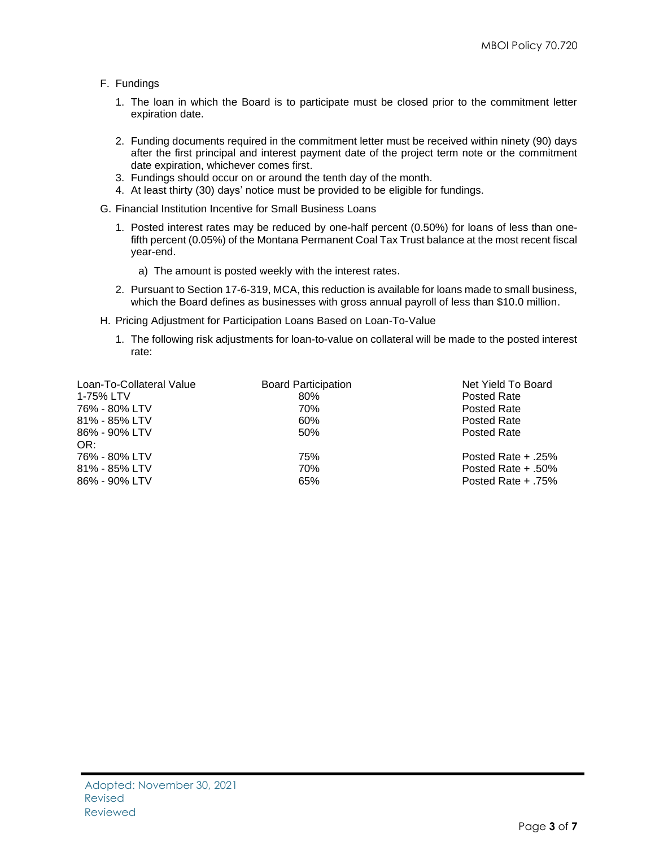- F. Fundings
	- 1. The loan in which the Board is to participate must be closed prior to the commitment letter expiration date.
	- 2. Funding documents required in the commitment letter must be received within ninety (90) days after the first principal and interest payment date of the project term note or the commitment date expiration, whichever comes first.
	- 3. Fundings should occur on or around the tenth day of the month.
	- 4. At least thirty (30) days' notice must be provided to be eligible for fundings.
- G. Financial Institution Incentive for Small Business Loans
	- 1. Posted interest rates may be reduced by one-half percent (0.50%) for loans of less than onefifth percent (0.05%) of the Montana Permanent Coal Tax Trust balance at the most recent fiscal year-end.
		- a) The amount is posted weekly with the interest rates.
	- 2. Pursuant to Section 17-6-319, MCA, this reduction is available for loans made to small business, which the Board defines as businesses with gross annual payroll of less than \$10.0 million.
- H. Pricing Adjustment for Participation Loans Based on Loan-To-Value
	- 1. The following risk adjustments for loan-to-value on collateral will be made to the posted interest rate:

| Loan-To-Collateral Value | <b>Board Participation</b> | Net Yield To Board    |
|--------------------------|----------------------------|-----------------------|
| 1-75% LTV                | 80%                        | Posted Rate           |
| 76% - 80% LTV            | 70%                        | Posted Rate           |
| 81% - 85% LTV            | 60%                        | <b>Posted Rate</b>    |
| 86% - 90% LTV            | 50%                        | <b>Posted Rate</b>    |
| OR:                      |                            |                       |
| 76% - 80% LTV            | 75%                        | Posted Rate $+ .25%$  |
| 81% - 85% LTV            | 70%                        | Posted Rate $+ .50\%$ |
| 86% - 90% LTV            | 65%                        | Posted Rate $+ .75%$  |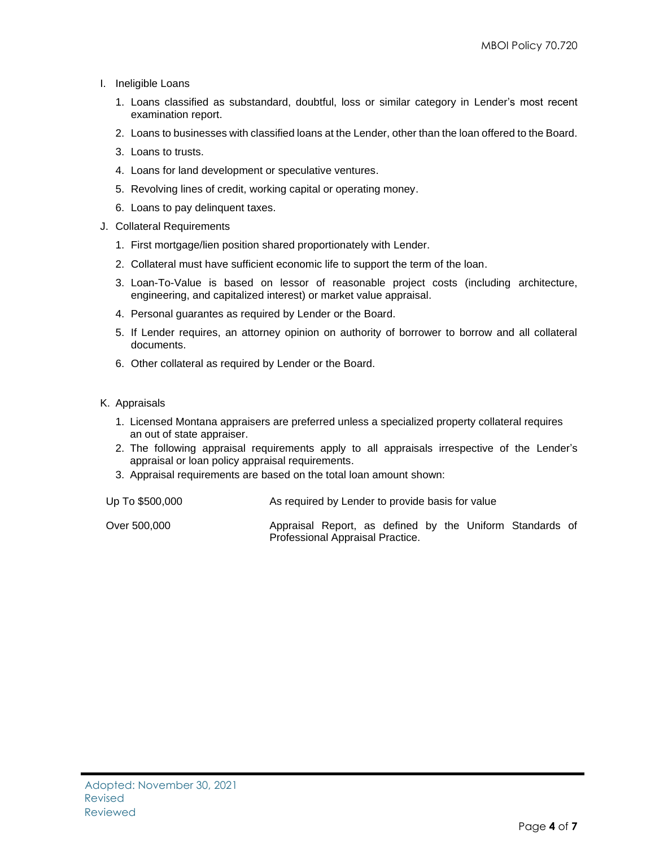- I. Ineligible Loans
	- 1. Loans classified as substandard, doubtful, loss or similar category in Lender's most recent examination report.
	- 2. Loans to businesses with classified loans at the Lender, other than the loan offered to the Board.
	- 3. Loans to trusts.
	- 4. Loans for land development or speculative ventures.
	- 5. Revolving lines of credit, working capital or operating money.
	- 6. Loans to pay delinquent taxes.
- J. Collateral Requirements
	- 1. First mortgage/lien position shared proportionately with Lender.
	- 2. Collateral must have sufficient economic life to support the term of the loan.
	- 3. Loan-To-Value is based on lessor of reasonable project costs (including architecture, engineering, and capitalized interest) or market value appraisal.
	- 4. Personal guarantes as required by Lender or the Board.
	- 5. If Lender requires, an attorney opinion on authority of borrower to borrow and all collateral documents.
	- 6. Other collateral as required by Lender or the Board.
- K. Appraisals
	- 1. Licensed Montana appraisers are preferred unless a specialized property collateral requires an out of state appraiser.
	- 2. The following appraisal requirements apply to all appraisals irrespective of the Lender's appraisal or loan policy appraisal requirements.
	- 3. Appraisal requirements are based on the total loan amount shown:
- Up To \$500,000 As required by Lender to provide basis for value
- Over 500,000 Appraisal Report, as defined by the Uniform Standards of Professional Appraisal Practice.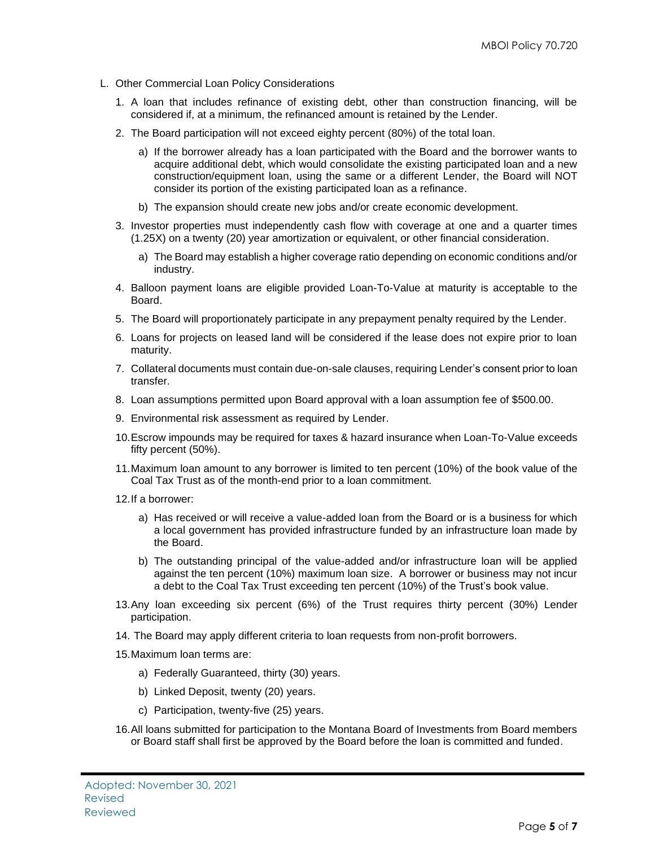- L. Other Commercial Loan Policy Considerations
	- 1. A loan that includes refinance of existing debt, other than construction financing, will be considered if, at a minimum, the refinanced amount is retained by the Lender.
	- 2. The Board participation will not exceed eighty percent (80%) of the total loan.
		- a) If the borrower already has a loan participated with the Board and the borrower wants to acquire additional debt, which would consolidate the existing participated loan and a new construction/equipment loan, using the same or a different Lender, the Board will NOT consider its portion of the existing participated loan as a refinance.
		- b) The expansion should create new jobs and/or create economic development.
	- 3. Investor properties must independently cash flow with coverage at one and a quarter times (1.25X) on a twenty (20) year amortization or equivalent, or other financial consideration.
		- a) The Board may establish a higher coverage ratio depending on economic conditions and/or industry.
	- 4. Balloon payment loans are eligible provided Loan-To-Value at maturity is acceptable to the Board.
	- 5. The Board will proportionately participate in any prepayment penalty required by the Lender.
	- 6. Loans for projects on leased land will be considered if the lease does not expire prior to loan maturity.
	- 7. Collateral documents must contain due-on-sale clauses, requiring Lender's consent prior to loan transfer.
	- 8. Loan assumptions permitted upon Board approval with a loan assumption fee of \$500.00.
	- 9. Environmental risk assessment as required by Lender.
	- 10.Escrow impounds may be required for taxes & hazard insurance when Loan-To-Value exceeds fifty percent (50%).
	- 11.Maximum loan amount to any borrower is limited to ten percent (10%) of the book value of the Coal Tax Trust as of the month-end prior to a loan commitment.
	- 12.If a borrower:
		- a) Has received or will receive a value-added loan from the Board or is a business for which a local government has provided infrastructure funded by an infrastructure loan made by the Board.
		- b) The outstanding principal of the value-added and/or infrastructure loan will be applied against the ten percent (10%) maximum loan size. A borrower or business may not incur a debt to the Coal Tax Trust exceeding ten percent (10%) of the Trust's book value.
	- 13.Any loan exceeding six percent (6%) of the Trust requires thirty percent (30%) Lender participation.
	- 14. The Board may apply different criteria to loan requests from non-profit borrowers.
	- 15.Maximum loan terms are:
		- a) Federally Guaranteed, thirty (30) years.
		- b) Linked Deposit, twenty (20) years.
		- c) Participation, twenty-five (25) years.
	- 16.All loans submitted for participation to the Montana Board of Investments from Board members or Board staff shall first be approved by the Board before the loan is committed and funded.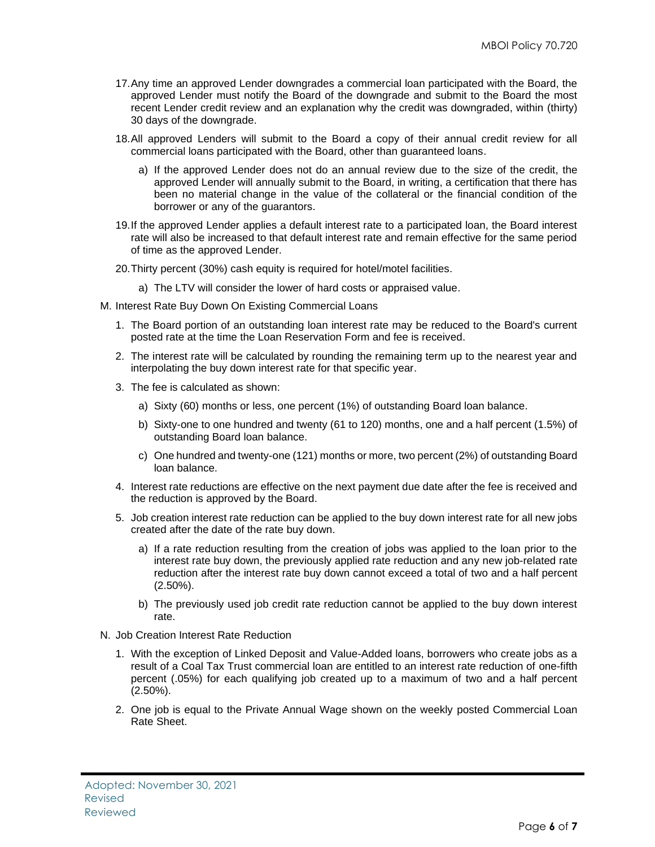- 17.Any time an approved Lender downgrades a commercial loan participated with the Board, the approved Lender must notify the Board of the downgrade and submit to the Board the most recent Lender credit review and an explanation why the credit was downgraded, within (thirty) 30 days of the downgrade.
- 18.All approved Lenders will submit to the Board a copy of their annual credit review for all commercial loans participated with the Board, other than guaranteed loans.
	- a) If the approved Lender does not do an annual review due to the size of the credit, the approved Lender will annually submit to the Board, in writing, a certification that there has been no material change in the value of the collateral or the financial condition of the borrower or any of the guarantors.
- 19.If the approved Lender applies a default interest rate to a participated loan, the Board interest rate will also be increased to that default interest rate and remain effective for the same period of time as the approved Lender.
- 20.Thirty percent (30%) cash equity is required for hotel/motel facilities.
	- a) The LTV will consider the lower of hard costs or appraised value.
- M. Interest Rate Buy Down On Existing Commercial Loans
	- 1. The Board portion of an outstanding loan interest rate may be reduced to the Board's current posted rate at the time the Loan Reservation Form and fee is received.
	- 2. The interest rate will be calculated by rounding the remaining term up to the nearest year and interpolating the buy down interest rate for that specific year.
	- 3. The fee is calculated as shown:
		- a) Sixty (60) months or less, one percent (1%) of outstanding Board loan balance.
		- b) Sixty-one to one hundred and twenty (61 to 120) months, one and a half percent (1.5%) of outstanding Board loan balance.
		- c) One hundred and twenty-one (121) months or more, two percent (2%) of outstanding Board loan balance.
	- 4. Interest rate reductions are effective on the next payment due date after the fee is received and the reduction is approved by the Board.
	- 5. Job creation interest rate reduction can be applied to the buy down interest rate for all new jobs created after the date of the rate buy down.
		- a) If a rate reduction resulting from the creation of jobs was applied to the loan prior to the interest rate buy down, the previously applied rate reduction and any new job-related rate reduction after the interest rate buy down cannot exceed a total of two and a half percent (2.50%).
		- b) The previously used job credit rate reduction cannot be applied to the buy down interest rate.
- N. Job Creation Interest Rate Reduction
	- 1. With the exception of Linked Deposit and Value-Added loans, borrowers who create jobs as a result of a Coal Tax Trust commercial loan are entitled to an interest rate reduction of one-fifth percent (.05%) for each qualifying job created up to a maximum of two and a half percent (2.50%).
	- 2. One job is equal to the Private Annual Wage shown on the weekly posted Commercial Loan Rate Sheet.